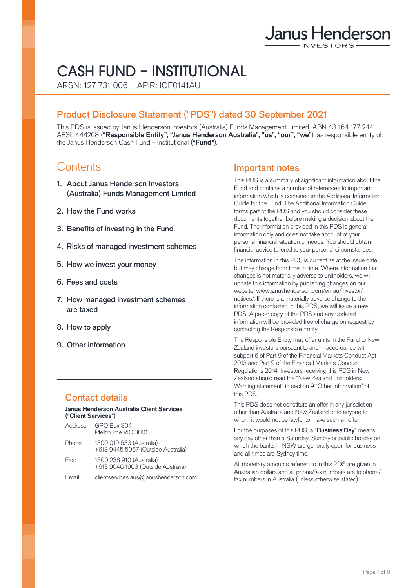# Janus Henderson

# CASH FUND – INSTITUTIONAL

ARSN: 127 731 006 APIR: IOF0141AU

# Product Disclosure Statement ("PDS") dated 30 September 2021

This PDS is issued by Janus Henderson Investors (Australia) Funds Management Limited, ABN 43 164 177 244, AFSL 444268 (**"Responsible Entity", "Janus Henderson Australia", "us", "our", "we"**), as responsible entity of the Janus Henderson Cash Fund – Institutional (**"Fund"**).

# **Contents**

- 1. About Janus Henderson Investors (Australia) Funds Management Limited
- 2. How the Fund works
- 3. Benefits of investing in the Fund
- 4. Risks of managed investment schemes
- 5. How we invest your money
- 6. Fees and costs
- 7. How managed investment schemes are taxed
- 8. How to apply
- 9. Other information

# Contact details

#### **Janus Henderson Australia Client Services ("Client Services"**)

| Address: | <b>GPO Box 804</b><br>Melbourne VIC 3001                       |
|----------|----------------------------------------------------------------|
| Phone:   | 1300 019 633 (Australia)<br>+613 9445 5067 (Outside Australia) |
| Fax:     | 1800 238 910 (Australia)<br>+613 9046 1903 (Outside Australia) |
| Email:   | clientservices.aus@janushenderson.com                          |

# Important notes

This PDS is a summary of significant information about the Fund and contains a number of references to important information which is contained in the Additional Information Guide for the Fund. The Additional Information Guide forms part of the PDS and you should consider these documents together before making a decision about the Fund. The information provided in this PDS is general information only and does not take account of your personal financial situation or needs. You should obtain financial advice tailored to your personal circumstances.

The information in this PDS is current as at the issue date but may change from time to time. Where information that changes is not materially adverse to unitholders, we will update this information by publishing changes on our website: [www.janushenderson.com/en-au/investor/](http://www.janushenderson.com/en-au/investor/notices/) [notices/](http://www.janushenderson.com/en-au/investor/notices/). If there is a materially adverse change to the information contained in this PDS, we will issue a new PDS. A paper copy of the PDS and any updated information will be provided free of charge on request by contacting the Responsible Entity.

The Responsible Entity may offer units in the Fund to New Zealand investors pursuant to and in accordance with subpart 6 of Part 9 of the Financial Markets Conduct Act 2013 and Part 9 of the Financial Markets Conduct Regulations 2014. Investors receiving this PDS in New Zealand should read the "New Zealand unitholders: Warning statement" in section 9 "Other Information" of this PDS.

This PDS does not constitute an offer in any jurisdiction other than Australia and New Zealand or to anyone to whom it would not be lawful to make such an offer.

For the purposes of this PDS, a "**Business Day**" means any day other than a Saturday, Sunday or public holiday on which the banks in NSW are generally open for business and all times are Sydney time.

All monetary amounts referred to in this PDS are given in Australian dollars and all phone/fax numbers are to phone/ fax numbers in Australia (unless otherwise stated).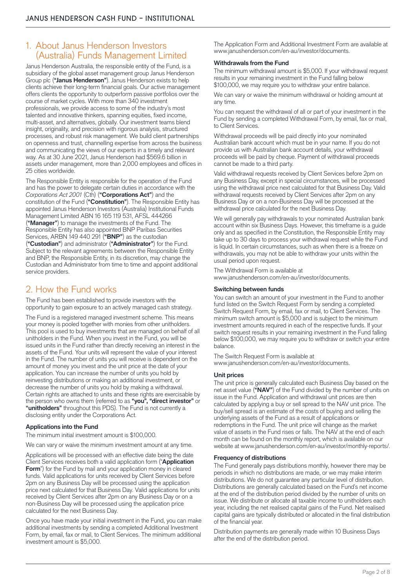# 1. About Janus Henderson Investors (Australia) Funds Management Limited

Janus Henderson Australia, the responsible entity of the Fund, is a subsidiary of the global asset management group Janus Henderson Group plc (**"Janus Henderson"**). Janus Henderson exists to help clients achieve their long-term financial goals. Our active management offers clients the opportunity to outperform passive portfolios over the course of market cycles. With more than 340 investment professionals, we provide access to some of the industry's most talented and innovative thinkers, spanning equities, fixed income, multi-asset, and alternatives, globally. Our investment teams blend insight, originality, and precision with rigorous analysis, structured processes, and robust risk management. We build client partnerships on openness and trust, channelling expertise from across the business and communicating the views of our experts in a timely and relevant way. As at 30 June 2021, Janus Henderson had \$569.6 billion in assets under management, more than 2,000 employees and offices in 25 cities worldwide.

The Responsible Entity is responsible for the operation of the Fund and has the power to delegate certain duties in accordance with the *Corporations Act 2001* (Cth) (**"Corporations Act"**) and the constitution of the Fund (**"Constitution"**). The Responsible Entity has appointed Janus Henderson Investors (Australia) Institutional Funds Management Limited ABN 16 165 119 531, AFSL 444266 (**"Manager"**) to manage the investments of the Fund. The Responsible Entity has also appointed BNP Paribas Securities Services, ARBN 149 440 291 (**"BNP"**) as the custodian (**"Custodian"**) and administrator (**"Administrator"**) for the Fund. Subject to the relevant agreements between the Responsible Entity and BNP, the Responsible Entity, in its discretion, may change the Custodian and Administrator from time to time and appoint additional service providers.

# 2. How the Fund works

The Fund has been established to provide investors with the opportunity to gain exposure to an actively managed cash strategy.

The Fund is a registered managed investment scheme. This means your money is pooled together with monies from other unitholders. This pool is used to buy investments that are managed on behalf of all unitholders in the Fund. When you invest in the Fund, you will be issued units in the Fund rather than directly receiving an interest in the assets of the Fund. Your units will represent the value of your interest in the Fund. The number of units you will receive is dependent on the amount of money you invest and the unit price at the date of your application. You can increase the number of units you hold by reinvesting distributions or making an additional investment, or decrease the number of units you hold by making a withdrawal. Certain rights are attached to units and these rights are exercisable by the person who owns them (referred to as **"you", "direct investor"** or **"unitholders"** throughout this PDS). The Fund is not currently a disclosing entity under the Corporations Act.

#### **Applications into the Fund**

The minimum initial investment amount is \$100,000.

We can vary or waive the minimum investment amount at any time.

Applications will be processed with an effective date being the date Client Services receives both a valid application form ("**Application Form**") for the Fund by mail and your application money in cleared funds. Valid applications for units received by Client Services before 2pm on any Business Day will be processed using the application price next calculated for that Business Day. Valid applications for units received by Client Services after 2pm on any Business Day or on a non-Business Day will be processed using the application price calculated for the next Business Day.

Once you have made your initial investment in the Fund, you can make additional investments by sending a completed Additional Investment Form, by email, fax or mail, to Client Services. The minimum additional investment amount is \$5,000.

The Application Form and Additional Investment Form are available at [www.janushenderson.com/en-au/investor/documents.](http://www.janushenderson.com/en-au/investor/documents)

#### **Withdrawals from the Fund**

The minimum withdrawal amount is \$5,000. If your withdrawal request results in your remaining investment in the Fund falling below \$100,000, we may require you to withdraw your entire balance.

We can vary or waive the minimum withdrawal or holding amount at any time.

You can request the withdrawal of all or part of your investment in the Fund by sending a completed Withdrawal Form, by email, fax or mail, to Client Services.

Withdrawal proceeds will be paid directly into your nominated Australian bank account which must be in your name. If you do not provide us with Australian bank account details, your withdrawal proceeds will be paid by cheque. Payment of withdrawal proceeds cannot be made to a third party.

Valid withdrawal requests received by Client Services before 2pm on any Business Day, except in special circumstances, will be processed using the withdrawal price next calculated for that Business Day. Valid withdrawal requests received by Client Services after 2pm on any Business Day or on a non-Business Day will be processed at the withdrawal price calculated for the next Business Day.

We will generally pay withdrawals to your nominated Australian bank account within six Business Days. However, this timeframe is a guide only and as specified in the Constitution, the Responsible Entity may take up to 30 days to process your withdrawal request while the Fund is liquid. In certain circumstances, such as when there is a freeze on withdrawals, you may not be able to withdraw your units within the usual period upon request.

The Withdrawal Form is available at [www.janushenderson.com/en-au/investor/documents.](http://www.janushenderson.com/en-au/investor/documents)

#### **Switching between funds**

You can switch an amount of your investment in the Fund to another fund listed on the Switch Request Form by sending a completed Switch Request Form, by email, fax or mail, to Client Services. The minimum switch amount is \$5,000 and is subject to the minimum investment amounts required in each of the respective funds. If your switch request results in your remaining investment in the Fund falling below \$100,000, we may require you to withdraw or switch your entire balance.

The Switch Request Form is available at [www.janushenderson.com/en-au/investor/documents.](http://www.janushenderson.com/en-au/investor/documents)

#### **Unit prices**

The unit price is generally calculated each Business Day based on the net asset value ("NAV") of the Fund divided by the number of units on issue in the Fund. Application and withdrawal unit prices are then calculated by applying a buy or sell spread to the NAV unit price. The buy/sell spread is an estimate of the costs of buying and selling the underlying assets of the Fund as a result of applications or redemptions in the Fund. The unit price will change as the market value of assets in the Fund rises or falls. The NAV at the end of each month can be found on the monthly report, which is available on our website at [www.janushenderson.com/en-au/investor/monthly-reports/](http://www.janushenderson.com/en-au/investor/monthly-reports/).

#### **Frequency of distributions**

The Fund generally pays distributions monthly, however there may be periods in which no distributions are made, or we may make interim distributions. We do not guarantee any particular level of distribution. Distributions are generally calculated based on the Fund's net income at the end of the distribution period divided by the number of units on issue. We distribute or allocate all taxable income to unitholders each year, including the net realised capital gains of the Fund. Net realised capital gains are typically distributed or allocated in the final distribution of the financial year.

Distribution payments are generally made within 10 Business Days after the end of the distribution period.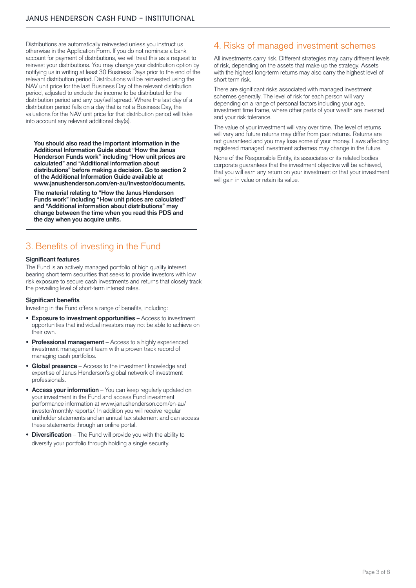Distributions are automatically reinvested unless you instruct us otherwise in the Application Form. If you do not nominate a bank account for payment of distributions, we will treat this as a request to reinvest your distributions. You may change your distribution option by notifying us in writing at least 30 Business Days prior to the end of the relevant distribution period. Distributions will be reinvested using the NAV unit price for the last Business Day of the relevant distribution period, adjusted to exclude the income to be distributed for the distribution period and any buy/sell spread. Where the last day of a distribution period falls on a day that is not a Business Day, the valuations for the NAV unit price for that distribution period will take into account any relevant additional day(s).

**You should also read the important information in the Additional Information Guide about "How the Janus Henderson Funds work" including "How unit prices are calculated" and "Additional information about distributions" before making a decision. Go to section 2 of the Additional Information Guide available at [www.janushenderson.com/en-au/investor/documents](http://www.janushenderson.com/en-au/investor/documents).**

**The material relating to "How the Janus Henderson Funds work" including "How unit prices are calculated" and "Additional information about distributions" may change between the time when you read this PDS and the day when you acquire units.** 

# 3. Benefits of investing in the Fund

#### **Significant features**

The Fund is an actively managed portfolio of high quality interest bearing short term securities that seeks to provide investors with low risk exposure to secure cash investments and returns that closely track the prevailing level of short-term interest rates.

#### **Significant benefits**

Investing in the Fund offers a range of benefits, including:

- **• Exposure to investment opportunities** Access to investment opportunities that individual investors may not be able to achieve on their own.
- **• Professional management** Access to a highly experienced investment management team with a proven track record of managing cash portfolios.
- **Global presence** Access to the investment knowledge and expertise of Janus Henderson's global network of investment professionals.
- **Access your information** You can keep regularly updated on your investment in the Fund and access Fund investment performance information at [www.janushenderson.com/en-au/](http://www.janushenderson.com/en-au/investor/monthly-reports/) [investor/monthly-reports/.](http://www.janushenderson.com/en-au/investor/monthly-reports/) In addition you will receive regular unitholder statements and an annual tax statement and can access these statements through an online portal.
- **• Diversification** The Fund will provide you with the ability to diversify your portfolio through holding a single security.

# 4. Risks of managed investment schemes

All investments carry risk. Different strategies may carry different levels of risk, depending on the assets that make up the strategy. Assets with the highest long-term returns may also carry the highest level of short term risk.

There are significant risks associated with managed investment schemes generally. The level of risk for each person will vary depending on a range of personal factors including your age, investment time frame, where other parts of your wealth are invested and your risk tolerance.

The value of your investment will vary over time. The level of returns will vary and future returns may differ from past returns. Returns are not guaranteed and you may lose some of your money. Laws affecting registered managed investment schemes may change in the future.

None of the Responsible Entity, its associates or its related bodies corporate guarantees that the investment objective will be achieved, that you will earn any return on your investment or that your investment will gain in value or retain its value.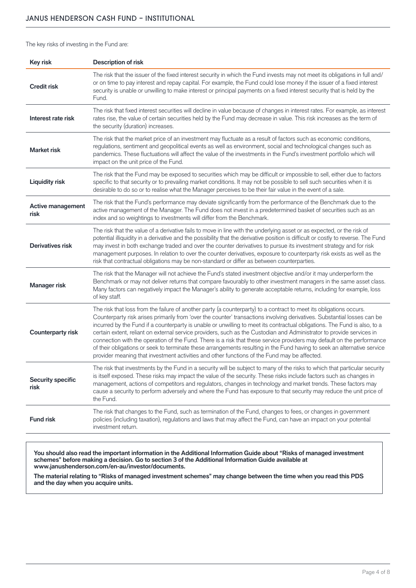The key risks of investing in the Fund are:

| <b>Key risk</b>                  | <b>Description of risk</b>                                                                                                                                                                                                                                                                                                                                                                                                                                                                                                                                                                                                                                                                                                                                                                                                                                  |
|----------------------------------|-------------------------------------------------------------------------------------------------------------------------------------------------------------------------------------------------------------------------------------------------------------------------------------------------------------------------------------------------------------------------------------------------------------------------------------------------------------------------------------------------------------------------------------------------------------------------------------------------------------------------------------------------------------------------------------------------------------------------------------------------------------------------------------------------------------------------------------------------------------|
| <b>Credit risk</b>               | The risk that the issuer of the fixed interest security in which the Fund invests may not meet its obligations in full and/<br>or on time to pay interest and repay capital. For example, the Fund could lose money if the issuer of a fixed interest<br>security is unable or unwilling to make interest or principal payments on a fixed interest security that is held by the<br>Fund.                                                                                                                                                                                                                                                                                                                                                                                                                                                                   |
| Interest rate risk               | The risk that fixed interest securities will decline in value because of changes in interest rates. For example, as interest<br>rates rise, the value of certain securities held by the Fund may decrease in value. This risk increases as the term of<br>the security (duration) increases.                                                                                                                                                                                                                                                                                                                                                                                                                                                                                                                                                                |
| <b>Market risk</b>               | The risk that the market price of an investment may fluctuate as a result of factors such as economic conditions,<br>regulations, sentiment and geopolitical events as well as environment, social and technological changes such as<br>pandemics. These fluctuations will affect the value of the investments in the Fund's investment portfolio which will<br>impact on the unit price of the Fund.                                                                                                                                                                                                                                                                                                                                                                                                                                                       |
| <b>Liquidity risk</b>            | The risk that the Fund may be exposed to securities which may be difficult or impossible to sell, either due to factors<br>specific to that security or to prevailing market conditions. It may not be possible to sell such securities when it is<br>desirable to do so or to realise what the Manager perceives to be their fair value in the event of a sale.                                                                                                                                                                                                                                                                                                                                                                                                                                                                                            |
| <b>Active management</b><br>risk | The risk that the Fund's performance may deviate significantly from the performance of the Benchmark due to the<br>active management of the Manager. The Fund does not invest in a predetermined basket of securities such as an<br>index and so weightings to investments will differ from the Benchmark.                                                                                                                                                                                                                                                                                                                                                                                                                                                                                                                                                  |
| Derivatives risk                 | The risk that the value of a derivative fails to move in line with the underlying asset or as expected, or the risk of<br>potential illiquidity in a derivative and the possibility that the derivative position is difficult or costly to reverse. The Fund<br>may invest in both exchange traded and over the counter derivatives to pursue its investment strategy and for risk<br>management purposes. In relation to over the counter derivatives, exposure to counterparty risk exists as well as the<br>risk that contractual obligations may be non-standard or differ as between counterparties.                                                                                                                                                                                                                                                   |
| <b>Manager risk</b>              | The risk that the Manager will not achieve the Fund's stated investment objective and/or it may underperform the<br>Benchmark or may not deliver returns that compare favourably to other investment managers in the same asset class.<br>Many factors can negatively impact the Manager's ability to generate acceptable returns, including for example, loss<br>of key staff.                                                                                                                                                                                                                                                                                                                                                                                                                                                                             |
| <b>Counterparty risk</b>         | The risk that loss from the failure of another party (a counterparty) to a contract to meet its obligations occurs.<br>Counterparty risk arises primarily from 'over the counter' transactions involving derivatives. Substantial losses can be<br>incurred by the Fund if a counterparty is unable or unwilling to meet its contractual obligations. The Fund is also, to a<br>certain extent, reliant on external service providers, such as the Custodian and Administrator to provide services in<br>connection with the operation of the Fund. There is a risk that these service providers may default on the performance<br>of their obligations or seek to terminate these arrangements resulting in the Fund having to seek an alternative service<br>provider meaning that investment activities and other functions of the Fund may be affected. |
| <b>Security specific</b><br>risk | The risk that investments by the Fund in a security will be subject to many of the risks to which that particular security<br>is itself exposed. These risks may impact the value of the security. These risks include factors such as changes in<br>management, actions of competitors and regulators, changes in technology and market trends. These factors may<br>cause a security to perform adversely and where the Fund has exposure to that security may reduce the unit price of<br>the Fund.                                                                                                                                                                                                                                                                                                                                                      |
| <b>Fund risk</b>                 | The risk that changes to the Fund, such as termination of the Fund, changes to fees, or changes in government<br>policies (including taxation), regulations and laws that may affect the Fund, can have an impact on your potential<br>investment return.                                                                                                                                                                                                                                                                                                                                                                                                                                                                                                                                                                                                   |

**You should also read the important information in the Additional Information Guide about "Risks of managed investment schemes" before making a decision. Go to section 3 of the Additional Information Guide available at [www.janushenderson.com/en-au/investor/documents](http://www.janushenderson.com/en-au/investor/documents).**

**The material relating to "Risks of managed investment schemes" may change between the time when you read this PDS and the day when you acquire units.**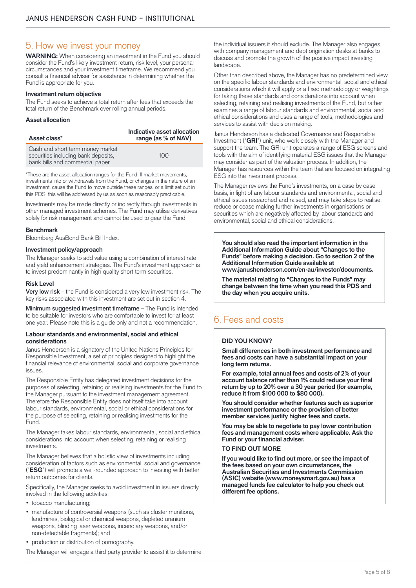## 5. How we invest your money

**WARNING:** When considering an investment in the Fund you should consider the Fund's likely investment return, risk level, your personal circumstances and your investment timeframe. We recommend you consult a financial adviser for assistance in determining whether the Fund is appropriate for you.

#### **Investment return objective**

The Fund seeks to achieve a total return after fees that exceeds the total return of the Benchmark over rolling annual periods.

#### **Asset allocation**

| Asset class*                                                                                               | Indicative asset allocation<br>range (as % of NAV) |
|------------------------------------------------------------------------------------------------------------|----------------------------------------------------|
| Cash and short term money market<br>securities including bank deposits,<br>bank bills and commercial paper | 100                                                |

\*These are the asset allocation ranges for the Fund. If market movements, investments into or withdrawals from the Fund, or changes in the nature of an investment, cause the Fund to move outside these ranges, or a limit set out in this PDS, this will be addressed by us as soon as reasonably practicable.

Investments may be made directly or indirectly through investments in other managed investment schemes. The Fund may utilise derivatives solely for risk management and cannot be used to gear the Fund.

#### **Benchmark**

Bloomberg AusBond Bank Bill Index.

#### **Investment policy/approach**

The Manager seeks to add value using a combination of interest rate and yield enhancement strategies. The Fund's investment approach is to invest predominantly in high quality short term securities.

#### **Risk Level**

Very low risk – the Fund is considered a very low investment risk. The key risks associated with this investment are set out in section 4.

Minimum suggested investment timeframe – The Fund is intended to be suitable for investors who are comfortable to invest for at least one year. Please note this is a guide only and not a recommendation.

#### **Labour standards and environmental, social and ethical considerations**

Janus Henderson is a signatory of the United Nations Principles for Responsible Investment, a set of principles designed to highlight the financial relevance of environmental, social and corporate governance issues.

The Responsible Entity has delegated investment decisions for the purposes of selecting, retaining or realising investments for the Fund to the Manager pursuant to the investment management agreement. Therefore the Responsible Entity does not itself take into account labour standards, environmental, social or ethical considerations for the purpose of selecting, retaining or realising investments for the Fund.

The Manager takes labour standards, environmental, social and ethical considerations into account when selecting, retaining or realising investments.

The Manager believes that a holistic view of investments including consideration of factors such as environmental, social and governance ("**ESG**") will promote a well-rounded approach to investing with better return outcomes for clients.

Specifically, the Manager seeks to avoid investment in issuers directly involved in the following activities:

- tobacco manufacturing;
- manufacture of controversial weapons (such as cluster munitions, landmines, biological or chemical weapons, depleted uranium weapons, blinding laser weapons, incendiary weapons, and/or non-detectable fragments); and
- production or distribution of pornography.

The Manager will engage a third party provider to assist it to determine

the individual issuers it should exclude. The Manager also engages with company management and debt origination desks at banks to discuss and promote the growth of the positive impact investing landscape.

Other than described above, the Manager has no predetermined view on the specific labour standards and environmental, social and ethical considerations which it will apply or a fixed methodology or weightings for taking these standards and considerations into account when selecting, retaining and realising investments of the Fund, but rather examines a range of labour standards and environmental, social and ethical considerations and uses a range of tools, methodologies and services to assist with decision making.

Janus Henderson has a dedicated Governance and Responsible Investment ("**GRI**") unit, who work closely with the Manager and support the team. The GRI unit operates a range of ESG screens and tools with the aim of identifying material ESG issues that the Manager may consider as part of the valuation process. In addition, the Manager has resources within the team that are focused on integrating ESG into the investment process.

The Manager reviews the Fund's investments, on a case by case basis, in light of any labour standards and environmental, social and ethical issues researched and raised, and may take steps to realise, reduce or cease making further investments in organisations or securities which are negatively affected by labour standards and environmental, social and ethical considerations.

**You should also read the important information in the Additional Information Guide about "Changes to the Funds" before making a decision. Go to section 2 of the Additional Information Guide available at [www.janushenderson.com/en-au/investor/documents](http://www.janushenderson.com/en-au/investor/documents).**

**The material relating to "Changes to the Funds" may change between the time when you read this PDS and the day when you acquire units.**

# 6. Fees and costs

#### **DID YOU KNOW?**

**Small differences in both investment performance and fees and costs can have a substantial impact on your long term returns.**

**For example, total annual fees and costs of 2% of your account balance rather than 1% could reduce your final return by up to 20% over a 30 year period (for example, reduce it from \$100 000 to \$80 000).**

**You should consider whether features such as superior investment performance or the provision of better member services justify higher fees and costs.**

**You may be able to negotiate to pay lower contribution fees and management costs where applicable. Ask the Fund or your financial adviser.**

**TO FIND OUT MORE**

**If you would like to find out more, or see the impact of the fees based on your own circumstances, the Australian Securities and Investments Commission (ASIC) website [\(www.moneysmart.gov.au\)](http://www.moneysmart.gov.au) has a managed funds fee calculator to help you check out different fee options.**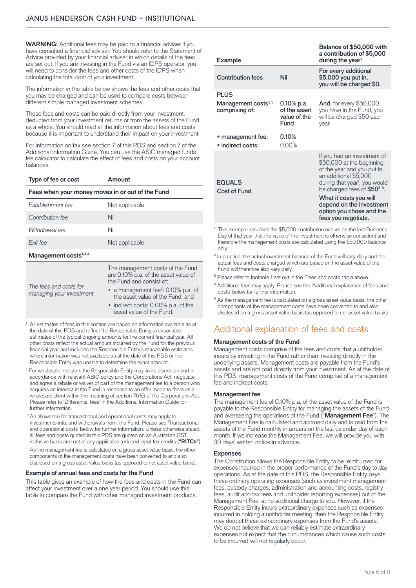**WARNING**: Additional fees may be paid to a financial adviser if you have consulted a financial adviser. You should refer to the Statement of Advice provided by your financial adviser in which details of the fees are set out. If you are investing in the Fund via an IDPS operator, you will need to consider the fees and other costs of the IDPS when calculating the total cost of your investment.

The information in the table below shows the fees and other costs that you may be charged and can be used to compare costs between different simple managed investment schemes.

These fees and costs can be paid directly from your investment, deducted from your investment returns or from the assets of the Fund as a whole. You should read all the information about fees and costs because it is important to understand their impact on your investment.

For information on tax see section 7 of this PDS and section 7 of the Additional Information Guide. You can use the ASIC managed funds fee calculator to calculate the effect of fees and costs on your account balances.

| Type of fee or cost                                | Amount                                                                                               |  |  |  |  |
|----------------------------------------------------|------------------------------------------------------------------------------------------------------|--|--|--|--|
| Fees when your money moves in or out of the Fund   |                                                                                                      |  |  |  |  |
| Establishment fee                                  | Not applicable                                                                                       |  |  |  |  |
| Contribution fee                                   | Nil                                                                                                  |  |  |  |  |
| Withdrawal fee                                     | Nil                                                                                                  |  |  |  |  |
| Exit fee                                           | Not applicable                                                                                       |  |  |  |  |
| Management costs <sup>1,3,4</sup>                  |                                                                                                      |  |  |  |  |
|                                                    | The management costs of the Fund<br>are 0.10% p.a. of the asset value of<br>the Fund and consist of: |  |  |  |  |
| The fees and costs for<br>managing your investment | • a management fee <sup>2</sup> : 0.10% p.a. of<br>the asset value of the Fund; and                  |  |  |  |  |
|                                                    | • indirect costs: 0.00% p.a. of the<br>asset value of the Fund.                                      |  |  |  |  |

- <sup>1</sup> All estimates of fees in this section are based on information available as at the date of this PDS and reflect the Responsible Entity's reasonable estimates of the typical ongoing amounts for the current financial year. All other costs reflect the actual amount incurred by the Fund for the previous financial year and includes the Responsible Entity's reasonable estimates where information was not available as at the date of this PDS or the Responsible Entity was unable to determine the exact amount.
- <sup>2</sup> For wholesale investors the Responsible Entity may, in its discretion and in accordance with relevant ASIC policy and the Corporations Act, negotiate and agree a rebate or waiver of part of the management fee to a person who acquires an interest in the Fund in response to an offer made to them as a wholesale client within the meaning of section 761G of the Corporations Act. Please refer to 'Differential fees' in the Additional Information Guide for further information.
- <sup>3</sup> An allowance for transactional and operational costs may apply to investments into, and withdrawals from, the Fund. Please see 'Transactional and operational costs' below for further information. Unless otherwise stated, all fees and costs quoted in this PDS are quoted on an Australian GST inclusive basis and net of any applicable reduced input tax credits (**"RITCs"**).
- <sup>4</sup> As the management fee is calculated on a gross asset value basis, the other components of the management costs have been converted to and also disclosed on a gross asset value basis (as opposed to net asset value basis).

#### **Example of annual fees and costs for the Fund**

This table gives an example of how the fees and costs in the Fund can affect your investment over a one year period. You should use this table to compare the Fund with other managed investment products.

| <b>Example</b>                                                   |                                                       | Balance of \$50,000 with<br>a contribution of \$5,000<br>during the year <sup>1</sup>                                                                                                                                                                                                                     |
|------------------------------------------------------------------|-------------------------------------------------------|-----------------------------------------------------------------------------------------------------------------------------------------------------------------------------------------------------------------------------------------------------------------------------------------------------------|
| <b>Contribution fees</b>                                         | Nil                                                   | For every additional<br>\$5,000 you put in,<br>you will be charged \$0.                                                                                                                                                                                                                                   |
| <b>PLUS</b><br>Management costs <sup>3,5</sup><br>comprising of: | $0.10\%$ p.a.<br>of the asset<br>value of the<br>Fund | <b>And, for every \$50,000</b><br>you have in the Fund, you<br>will be charged \$50 each<br>year.                                                                                                                                                                                                         |
| • management fee:<br>· indirect costs:                           | 0.10%<br>0.00%                                        |                                                                                                                                                                                                                                                                                                           |
| <b>EQUALS</b><br>Cost of Fund                                    |                                                       | If you had an investment of<br>\$50,000 at the beginning<br>of the year and you put in<br>an additional \$5,000<br>during that year <sup>1</sup> , you would<br>be charged fees of $$50^2$ $4$ .<br>What it costs you will<br>depend on the investment<br>option you chose and the<br>fees you negotiate. |

- <sup>1</sup> This example assumes the \$5,000 contribution occurs on the last Business Day of that year that the value of the investment is otherwise consistent and therefore the management costs are calculated using the \$50,000 balance only.
- <sup>2</sup> In practice, the actual investment balance of the Fund will vary daily and the actual fees and costs charged which are based on the asset value of the Fund will therefore also vary daily.
- <sup>3</sup> Please refer to footnote 1 set out in the 'Fees and costs' table above.
- ⁴ Additional fees may apply. Please see the 'Additional explanation of fees and costs' below for further information.
- <sup>5</sup> As the management fee is calculated on a gross asset value basis, the other components of the management costs have been converted to and also disclosed on a gross asset value basis (as opposed to net asset value basis).

# Additional explanation of fees and costs

#### **Management costs of the Fund**

Management costs comprise of the fees and costs that a unitholder incurs by investing in the Fund rather than investing directly in the underlying assets. Management costs are payable from the Fund's assets and are not paid directly from your investment. As at the date of this PDS, management costs of the Fund comprise of a management fee and indirect costs.

#### **Management fee**

The management fee of 0.10% p.a. of the asset value of the Fund is payable to the Responsible Entity for managing the assets of the Fund and overseeing the operations of the Fund ("**Management Fee**"). The Management Fee is calculated and accrued daily and is paid from the assets of the Fund monthly in arrears on the last calendar day of each month. If we increase the Management Fee, we will provide you with 30 days' written notice in advance.

#### **Expenses**

The Constitution allows the Responsible Entity to be reimbursed for expenses incurred in the proper performance of the Fund's day to day operations. As at the date of this PDS, the Responsible Entity pays these ordinary operating expenses (such as investment management fees, custody charges, administration and accounting costs, registry fees, audit and tax fees and unitholder reporting expenses) out of the Management Fee, at no additional charge to you. However, if the Responsible Entity incurs extraordinary expenses such as expenses incurred in holding a unitholder meeting, then the Responsible Entity may deduct these extraordinary expenses from the Fund's assets. We do not believe that we can reliably estimate extraordinary expenses but expect that the circumstances which cause such costs to be incurred will not regularly occur.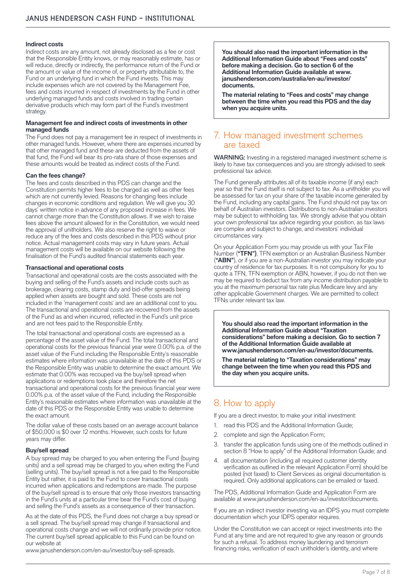#### **Indirect costs**

Indirect costs are any amount, not already disclosed as a fee or cost that the Responsible Entity knows, or may reasonably estimate, has or will reduce, directly or indirectly, the performance return of the Fund or the amount or value of the income of, or property attributable to, the Fund or an underlying fund in which the Fund invests. This may include expenses which are not covered by the Management Fee, fees and costs incurred in respect of investments by the Fund in other underlying managed funds and costs involved in trading certain derivative products which may form part of the Fund's investment strategy.

#### **Management fee and indirect costs of investments in other managed funds**

The Fund does not pay a management fee in respect of investments in other managed funds. However, where there are expenses incurred by that other managed fund and these are deducted from the assets of that fund, the Fund will bear its pro-rata share of those expenses and these amounts would be treated as indirect costs of the Fund.

#### **Can the fees change?**

The fees and costs described in this PDS can change and the Constitution permits higher fees to be charged as well as other fees which are not currently levied. Reasons for changing fees include changes in economic conditions and regulation. We will give you 30 days' written notice in advance of any proposed increase in fees. We cannot charge more than the Constitution allows. If we wish to raise fees above the amount allowed for in the Constitution, we would need the approval of unitholders. We also reserve the right to waive or reduce any of the fees and costs described in this PDS without prior notice. Actual management costs may vary in future years. Actual management costs will be available on our website following the finalisation of the Fund's audited financial statements each year.

#### **Transactional and operational costs**

Transactional and operational costs are the costs associated with the buying and selling of the Fund's assets and include costs such as brokerage, clearing costs, stamp duty and bid-offer spreads being applied when assets are bought and sold. These costs are not included in the 'management costs' and are an additional cost to you. The transactional and operational costs are recovered from the assets of the Fund as and when incurred, reflected in the Fund's unit price and are not fees paid to the Responsible Entity.

The total transactional and operational costs are expressed as a percentage of the asset value of the Fund. The total transactional and operational costs for the previous financial year were 0.00% p.a. of the asset value of the Fund including the Responsible Entity's reasonable estimates where information was unavailable at the date of this PDS or the Responsible Entity was unable to determine the exact amount. We estimate that 0.00% was recouped via the buy/sell spread when applications or redemptions took place and therefore the net transactional and operational costs for the previous financial year were 0.00% p.a. of the asset value of the Fund, including the Responsible Entity's reasonable estimates where information was unavailable at the date of this PDS or the Responsible Entity was unable to determine the exact amount.

The dollar value of these costs based on an average account balance of \$50,000 is \$0 over 12 months. However, such costs for future years may differ.

#### **Buy/sell spread**

A buy spread may be charged to you when entering the Fund (buying units) and a sell spread may be charged to you when exiting the Fund (selling units). The buy/sell spread is not a fee paid to the Responsible Entity but rather, it is paid to the Fund to cover transactional costs incurred when applications and redemptions are made. The purpose of the buy/sell spread is to ensure that only those investors transacting in the Fund's units at a particular time bear the Fund's cost of buying and selling the Fund's assets as a consequence of their transaction.

As at the date of this PDS, the Fund does not charge a buy spread or a sell spread. The buy/sell spread may change if transactional and operational costs change and we will not ordinarily provide prior notice. The current buy/sell spread applicable to this Fund can be found on our website at

[www.janushenderson.com/en-au/investor/buy-sell-spreads.](http://www.janushenderson.com/en-au/investor/buy-sell-spreads)

**You should also read the important information in the Additional Information Guide about "Fees and costs" before making a decision. Go to section 6 of the Additional Information Guide available at [www.](http://www.janushenderson.com/australia/en-au/investor/documents) [janushenderson.com/australia/en-au/investor/](http://www.janushenderson.com/australia/en-au/investor/documents) [documents](http://www.janushenderson.com/australia/en-au/investor/documents).**

**The material relating to "Fees and costs" may change between the time when you read this PDS and the day when you acquire units.**

## 7. How managed investment schemes are taxed

WARNING: Investing in a registered managed investment scheme is likely to have tax consequences and you are strongly advised to seek professional tax advice.

The Fund generally attributes all of its taxable income (if any) each year so that the Fund itself is not subject to tax. As a unitholder you will be assessed for tax on your share of the taxable income generated by the Fund, including any capital gains. The Fund should not pay tax on behalf of Australian investors. Distributions to non-Australian investors may be subject to withholding tax. We strongly advise that you obtain your own professional tax advice regarding your position, as tax laws are complex and subject to change, and investors' individual circumstances vary.

On your Application Form you may provide us with your Tax File Number ("TFN"), TFN exemption or an Australian Business Number (**"ABN"**), or if you are a non-Australian investor you may indicate your country of residence for tax purposes. It is not compulsory for you to quote a TFN, TFN exemption or ABN, however, if you do not then we may be required to deduct tax from any income distribution payable to you at the maximum personal tax rate plus Medicare levy and any other applicable Government charges. We are permitted to collect TFNs under relevant tax law.

**You should also read the important information in the Additional Information Guide about "Taxation considerations" before making a decision. Go to section 7 of the Additional Information Guide available at [www.janushenderson.com/en-au/investor/documents](http://www.janushenderson.com/en-au/investor/documents).**

**The material relating to "Taxation considerations" may change between the time when you read this PDS and the day when you acquire units.**

# 8. How to apply

If you are a direct investor, to make your initial investment:

- 1. read this PDS and the Additional Information Guide;
- 2. complete and sign the Application Form;
- 3. transfer the application funds using one of the methods outlined in section 8 "How to apply" of the Additional Information Guide; and
- 4. all documentation (including all required customer identity verification as outlined in the relevant Application Form) should be posted (not faxed) to Client Services as original documentation is required. Only additional applications can be emailed or faxed.

The PDS, Additional Information Guide and Application Form are available at [www.janushenderson.com/en-au/investor/documents.](http://www.janushenderson.com/en-au/investor/documents)

If you are an indirect investor investing via an IDPS you must complete documentation which your IDPS operator requires.

Under the Constitution we can accept or reject investments into the Fund at any time and are not required to give any reason or grounds for such a refusal. To address money laundering and terrorism financing risks, verification of each unitholder's identity, and where